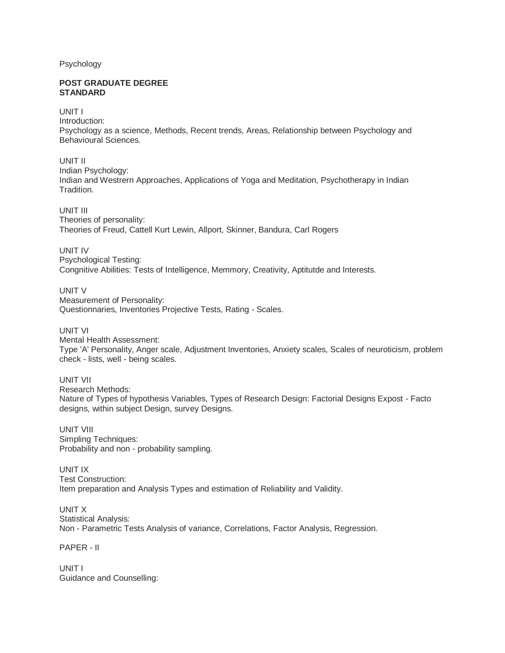Psychology

#### **POST GRADUATE DEGREE STANDARD**

UNIT I

Introduction: Psychology as a science, Methods, Recent trends, Areas, Relationship between Psychology and Behavioural Sciences.

UNIT II Indian Psychology: Indian and Westrern Approaches, Applications of Yoga and Meditation, Psychotherapy in Indian Tradition.

UNIT III Theories of personality: Theories of Freud, Cattell Kurt Lewin, Allport, Skinner, Bandura, Carl Rogers

UNIT IV Psychological Testing: Congnitive Abilities: Tests of Intelligence, Memmory, Creativity, Aptitutde and Interests.

UNIT V Measurement of Personality: Questionnaries, Inventories Projective Tests, Rating - Scales.

UNIT VI Mental Health Assessment: Type 'A' Personality, Anger scale, Adjustment Inventories, Anxiety scales, Scales of neuroticism, problem check - lists, well - being scales.

UNIT VII Research Methods: Nature of Types of hypothesis Variables, Types of Research Design: Factorial Designs Expost - Facto designs, within subject Design, survey Designs.

UNIT VIII Simpling Techniques: Probability and non - probability sampling.

UNIT IX Test Construction: Item preparation and Analysis Types and estimation of Reliability and Validity.

UNIT X Statistical Analysis: Non - Parametric Tests Analysis of variance, Correlations, Factor Analysis, Regression.

PAPER - II

UNIT I Guidance and Counselling: